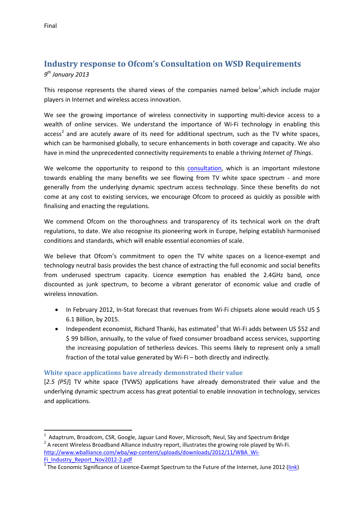# **Industry response to Ofcom's Consultation on WSD Requirements** *9th January 2013*

This response represents the shared views of the companies named below<sup>[1](#page-0-0)</sup>, which include major players in Internet and wireless access innovation.

We see the growing importance of wireless connectivity in supporting multi-device access to a wealth of online services. We understand the importance of Wi-Fi technology in enabling this access<sup>[2](#page-0-1)</sup> and are acutely aware of its need for additional spectrum, such as the TV white spaces, which can be harmonised globally, to secure enhancements in both coverage and capacity. We also have in mind the unprecedented connectivity requirements to enable a thriving *Internet of Things*.

We welcome the opportunity to respond to this [consultation,](http://stakeholders.ofcom.org.uk/binaries/consultations/whitespaces/summary/condoc.pdf) which is an important milestone towards enabling the many benefits we see flowing from TV white space spectrum - and more generally from the underlying dynamic spectrum access technology. Since these benefits do not come at any cost to existing services, we encourage Ofcom to proceed as quickly as possible with finalising and enacting the regulations.

We commend Ofcom on the thoroughness and transparency of its technical work on the draft regulations, to date. We also recognise its pioneering work in Europe, helping establish harmonised conditions and standards, which will enable essential economies of scale.

We believe that Ofcom's commitment to open the TV white spaces on a licence-exempt and technology neutral basis provides the best chance of extracting the full economic and social benefits from underused spectrum capacity. Licence exemption has enabled the 2.4GHz band, once discounted as junk spectrum, to become a vibrant generator of economic value and cradle of wireless innovation.

- In February 2012, In-Stat forecast that revenues from Wi-Fi chipsets alone would reach US \$ 6.1 Billion, by 2015.
- Independent economist, Richard Thanki, has estimated<sup>[3](#page-0-2)</sup> that Wi-Fi adds between US \$52 and \$ 99 billion, annually, to the value of fixed consumer broadband access services, supporting the increasing population of tetherless devices. This seems likely to represent only a small fraction of the total value generated by Wi-Fi – both directly and indirectly.

## **White space applications have already demonstrated their value**

[*2.5 (P5)*] TV white space (TVWS) applications have already demonstrated their value and the underlying dynamic spectrum access has great potential to enable innovation in technology, services and applications.

<span id="page-0-1"></span><span id="page-0-0"></span> $\frac{1}{1}$ <sup>1</sup> Adaptrum, Broadcom, CSR, Google, Jaguar Land Rover, Microsoft, Neul, Sky and Spectrum Bridge <sup>2</sup> A recent Wireless Broadband Alliance industry report, illustrates the growing role played by Wi-Fi. [http://www.wballiance.com/wba/wp-content/uploads/downloads/2012/11/WBA\\_Wi-](http://www.wballiance.com/wba/wp-content/uploads/downloads/2012/11/WBA_Wi-Fi_Industry_Report_Nov2012-2.pdf) $\frac{Fi}{3}$  Industry\_Report\_Nov2012-2.pdf<br> $\frac{3}{3}$ The Economic Significance of Licence-Exempt Spectrum to the Future of the Internet, June 2012 [\(link\)](https://www.google.co.uk/search?q=richard+Thanki+report&sourceid=ie7&rls=com.microsoft:en-GB:IE-Address&ie=&oe=&redir_esc=&ei=eybrUO7vKcrJhAedkICYBQ)

<span id="page-0-2"></span>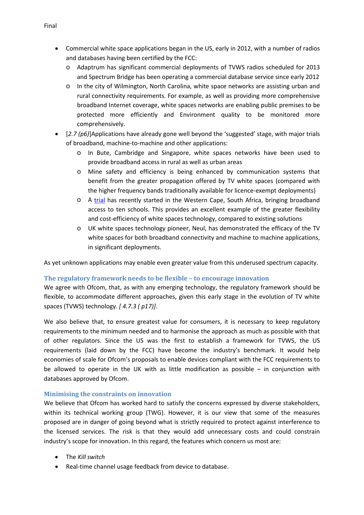- Commercial white space applications began in the US, early in 2012, with a number of radios and databases having been certified by the FCC:
	- o Adaptrum has significant commercial deployments of TVWS radios scheduled for 2013 and Spectrum Bridge has been operating a commercial database service since early 2012
	- o In the city of Wilmington, North Carolina, white space networks are assisting urban and rural connectivity requirements. For example, as well as providing more comprehensive broadband Internet coverage, white spaces networks are enabling public premises to be protected more efficiently and Environment quality to be monitored more comprehensively.
- [*2.7 (p6)*]Applications have already gone well beyond the 'suggested' stage, with major trials of broadband, machine-to-machine and other applications:
	- o In Bute, Cambridge and Singapore, white spaces networks have been used to provide broadband access in rural as well as urban areas
	- o Mine safety and efficiency is being enhanced by communication systems that benefit from the greater propagation offered by TV white spaces (compared with the higher frequency bands traditionally available for licence-exempt deployments)
	- o A [trial](http://www.tenet.ac.za/about-us/the-cape-town-tv-white-spaces-trial) has recently started in the Western Cape, South Africa, bringing broadband access to ten schools. This provides an excellent example of the greater flexibility and cost-efficiency of white spaces technology, compared to existing solutions
	- o UK white spaces technology pioneer, Neul, has demonstrated the efficacy of the TV white spaces for both broadband connectivity and machine to machine applications, in significant deployments.

As yet unknown applications may enable even greater value from this underused spectrum capacity.

## **The regulatory framework needs to be flexible – to encourage innovation**

We agree with Ofcom, that, as with any emerging technology, the regulatory framework should be flexible, to accommodate different approaches, given this early stage in the evolution of TV white spaces (TVWS) technology. *[ 4.7.3 ( p17)]*.

We also believe that, to ensure greatest value for consumers, it is necessary to keep regulatory requirements to the minimum needed and to harmonise the approach as much as possible with that of other regulators. Since the US was the first to establish a framework for TVWS, the US requirements (laid down by the FCC) have become the industry's benchmark. It would help economies of scale for Ofcom's proposals to enable devices compliant with the FCC requirements to be allowed to operate in the UK with as little modification as possible – in conjunction with databases approved by Ofcom.

#### **Minimising the constraints on innovation**

We believe that Ofcom has worked hard to satisfy the concerns expressed by diverse stakeholders, within its technical working group (TWG). However, it is our view that some of the measures proposed are in danger of going beyond what is strictly required to protect against interference to the licensed services. The risk is that they would add unnecessary costs and could constrain industry's scope for innovation. In this regard, the features which concern us most are:

- The *Kill switch*
- Real-time channel usage feedback from device to database.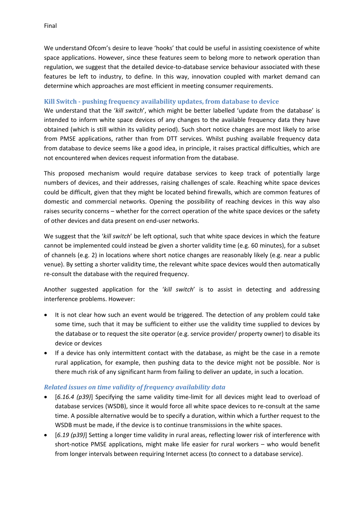We understand Ofcom's desire to leave 'hooks' that could be useful in assisting coexistence of white space applications. However, since these features seem to belong more to network operation than regulation, we suggest that the detailed device-to-database service behaviour associated with these features be left to industry, to define. In this way, innovation coupled with market demand can determine which approaches are most efficient in meeting consumer requirements.

### **Kill Switch - pushing frequency availability updates, from database to device**

We understand that the '*kill switch*', which might be better labelled 'update from the database' is intended to inform white space devices of any changes to the available frequency data they have obtained (which is still within its validity period). Such short notice changes are most likely to arise from PMSE applications, rather than from DTT services. Whilst pushing available frequency data from database to device seems like a good idea, in principle, it raises practical difficulties, which are not encountered when devices request information from the database.

This proposed mechanism would require database services to keep track of potentially large numbers of devices, and their addresses, raising challenges of scale. Reaching white space devices could be difficult, given that they might be located behind firewalls, which are common features of domestic and commercial networks. Opening the possibility of reaching devices in this way also raises security concerns – whether for the correct operation of the white space devices or the safety of other devices and data present on end-user networks.

We suggest that the '*kill switch*' be left optional, such that white space devices in which the feature cannot be implemented could instead be given a shorter validity time (e.g. 60 minutes), for a subset of channels (e.g. 2) in locations where short notice changes are reasonably likely (e.g. near a public venue). By setting a shorter validity time, the relevant white space devices would then automatically re-consult the database with the required frequency.

Another suggested application for the '*kill switch*' is to assist in detecting and addressing interference problems. However:

- It is not clear how such an event would be triggered. The detection of any problem could take some time, such that it may be sufficient to either use the validity time supplied to devices by the database or to request the site operator (e.g. service provider/ property owner) to disable its device or devices
- If a device has only intermittent contact with the database, as might be the case in a remote rural application, for example, then pushing data to the device might not be possible. Nor is there much risk of any significant harm from failing to deliver an update, in such a location.

#### *Related issues on time validity of frequency availability data*

- [*6.16.4 (p39)*] Specifying the same validity time-limit for all devices might lead to overload of database services (WSDB), since it would force all white space devices to re-consult at the same time. A possible alternative would be to specify a duration, within which a further request to the WSDB must be made, if the device is to continue transmissions in the white spaces.
- [*6.19 (p39)*] Setting a longer time validity in rural areas, reflecting lower risk of interference with short-notice PMSE applications, might make life easier for rural workers – who would benefit from longer intervals between requiring Internet access (to connect to a database service).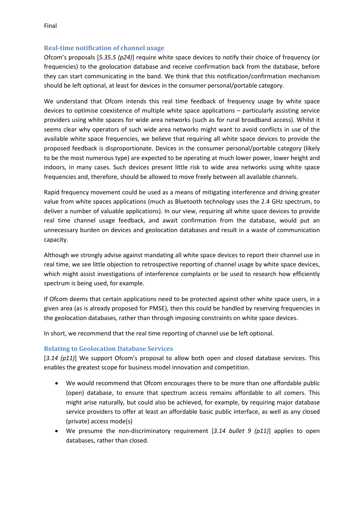# **Real-time notification of channel usage**

Ofcom's proposals [*5.35.5 (p24)*] require white space devices to notify their choice of frequency (or frequencies) to the geolocation database and receive confirmation back from the database, before they can start communicating in the band. We think that this notification/confirmation mechanism should be left optional, at least for devices in the consumer personal/portable category.

We understand that Ofcom intends this real time feedback of frequency usage by white space devices to optimise coexistence of multiple white space applications – particularly assisting service providers using white spaces for wide area networks (such as for rural broadband access). Whilst it seems clear why operators of such wide area networks might want to avoid conflicts in use of the available white space frequencies, we believe that requiring all white space devices to provide the proposed feedback is disproportionate. Devices in the consumer personal/portable category (likely to be the most numerous type) are expected to be operating at much lower power, lower height and indoors, in many cases. Such devices present little risk to wide area networks using white space frequencies and, therefore, should be allowed to move freely between all available channels.

Rapid frequency movement could be used as a means of mitigating interference and driving greater value from white spaces applications (much as Bluetooth technology uses the 2.4 GHz spectrum, to deliver a number of valuable applications). In our view, requiring all white space devices to provide real time channel usage feedback, and await confirmation from the database, would put an unnecessary burden on devices and geolocation databases and result in a waste of communication capacity.

Although we strongly advise against mandating all white space devices to report their channel use in real time, we see little objection to retrospective reporting of channel usage by white space devices, which might assist investigations of interference complaints or be used to research how efficiently spectrum is being used, for example.

If Ofcom deems that certain applications need to be protected against other white space users, in a given area (as is already proposed for PMSE), then this could be handled by reserving frequencies in the geolocation databases, rather than through imposing constraints on white space devices.

In short, we recommend that the real time reporting of channel use be left optional.

# **Relating to Geolocation Database Services**

[*3.14 (p11)*] We support Ofcom's proposal to allow both open and closed database services. This enables the greatest scope for business model innovation and competition.

- We would recommend that Ofcom encourages there to be more than one affordable public (open) database, to ensure that spectrum access remains affordable to all comers. This might arise naturally, but could also be achieved, for example, by requiring major database service providers to offer at least an affordable basic public interface, as well as any closed (private) access mode(s)
- We presume the non-discriminatory requirement [*3.14 bullet 9 (p11)*] applies to open databases, rather than closed.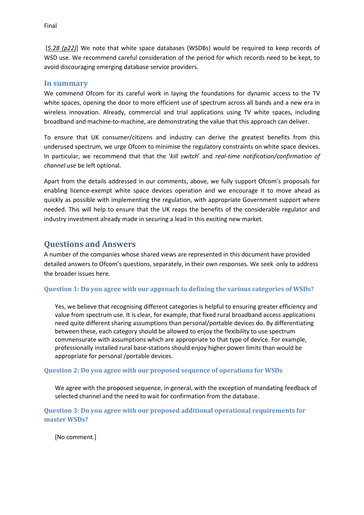[*5.28 (p22)*] We note that white space databases (WSDBs) would be required to keep records of WSD use. We recommend careful consideration of the period for which records need to be kept, to avoid discouraging emerging database service providers.

### **In summary**

We commend Ofcom for its careful work in laying the foundations for dynamic access to the TV white spaces, opening the door to more efficient use of spectrum across all bands and a new era in wireless innovation. Already, commercial and trial applications using TV white spaces, including broadband and machine-to-machine, are demonstrating the value that this approach can deliver.

To ensure that UK consumer/citizens and industry can derive the greatest benefits from this underused spectrum, we urge Ofcom to minimise the regulatory constraints on white space devices. In particular, we recommend that that the '*kill switch*' and *real-time notification/confirmation of channel use* be left optional.

Apart from the details addressed in our comments, above, we fully support Ofcom's proposals for enabling licence-exempt white space devices operation and we encourage it to move ahead as quickly as possible with implementing the regulation, with appropriate Government support where needed. This will help to ensure that the UK reaps the benefits of the considerable regulator and industry investment already made in securing a lead in this exciting new market.

# **Questions and Answers**

A number of the companies whose shared views are represented in this document have provided detailed answers to Ofcom's questions, separately, in their own responses. We seek only to address the broader issues here.

#### **Question 1: Do you agree with our approach to defining the various categories of WSDs?**

Yes, we believe that recognising different categories is helpful to ensuring greater efficiency and value from spectrum use. It is clear, for example, that fixed rural broadband access applications need quite different sharing assumptions than personal/portable devices do. By differentiating between these, each category should be allowed to enjoy the flexibility to use spectrum commensurate with assumptions which are appropriate to that type of device. For example, professionally installed rural base-stations should enjoy higher power limits than would be appropriate for personal /portable devices.

#### **Question 2: Do you agree with our proposed sequence of operations for WSDs**

We agree with the proposed sequence, in general, with the exception of mandating feedback of selected channel and the need to wait for confirmation from the database.

**Question 3: Do you agree with our proposed additional operational requirements for master WSDs?**

[No comment.]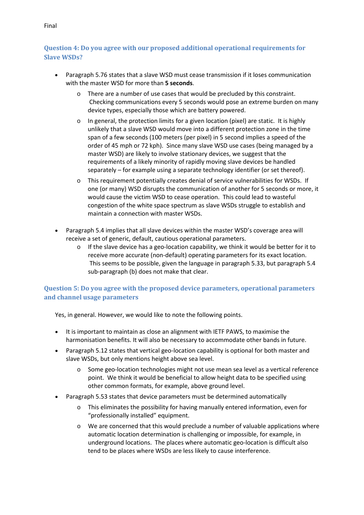#### Final

## **Question 4: Do you agree with our proposed additional operational requirements for Slave WSDs?**

- Paragraph 5.76 states that a slave WSD must cease transmission if it loses communication with the master WSD for more than **5 seconds**.
	- o There are a number of use cases that would be precluded by this constraint. Checking communications every 5 seconds would pose an extreme burden on many device types, especially those which are battery powered.
	- $\circ$  In general, the protection limits for a given location (pixel) are static. It is highly unlikely that a slave WSD would move into a different protection zone in the time span of a few seconds (100 meters (per pixel) in 5 second implies a speed of the order of 45 mph or 72 kph). Since many slave WSD use cases (being managed by a master WSD) are likely to involve stationary devices, we suggest that the requirements of a likely minority of rapidly moving slave devices be handled separately – for example using a separate technology identifier (or set thereof).
	- o This requirement potentially creates denial of service vulnerabilities for WSDs. If one (or many) WSD disrupts the communication of another for 5 seconds or more, it would cause the victim WSD to cease operation. This could lead to wasteful congestion of the white space spectrum as slave WSDs struggle to establish and maintain a connection with master WSDs.
- Paragraph 5.4 implies that all slave devices within the master WSD's coverage area will receive a set of generic, default, cautious operational parameters.
	- $\circ$  If the slave device has a geo-location capability, we think it would be better for it to receive more accurate (non-default) operating parameters for its exact location. This seems to be possible, given the language in paragraph 5.33, but paragraph 5.4 sub-paragraph (b) does not make that clear.

## **Question 5: Do you agree with the proposed device parameters, operational parameters and channel usage parameters**

Yes, in general. However, we would like to note the following points.

- It is important to maintain as close an alignment with IETF PAWS, to maximise the harmonisation benefits. It will also be necessary to accommodate other bands in future.
- Paragraph 5.12 states that vertical geo-location capability is optional for both master and slave WSDs, but only mentions height above sea level.
	- o Some geo-location technologies might not use mean sea level as a vertical reference point. We think it would be beneficial to allow height data to be specified using other common formats, for example, above ground level.
- Paragraph 5.53 states that device parameters must be determined automatically
	- o This eliminates the possibility for having manually entered information, even for "professionally installed" equipment.
	- o We are concerned that this would preclude a number of valuable applications where automatic location determination is challenging or impossible, for example, in underground locations. The places where automatic geo-location is difficult also tend to be places where WSDs are less likely to cause interference.